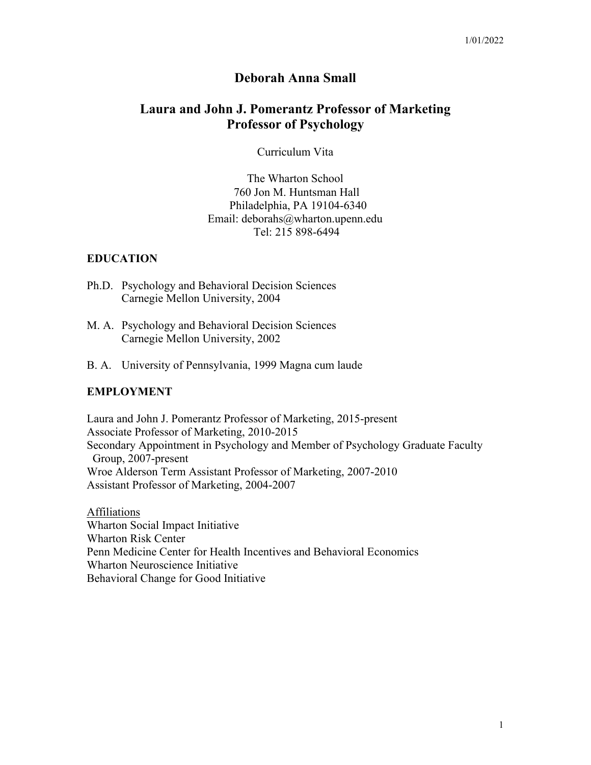## **Deborah Anna Small**

# **Laura and John J. Pomerantz Professor of Marketing Professor of Psychology**

Curriculum Vita

The Wharton School 760 Jon M. Huntsman Hall Philadelphia, PA 19104-6340 Email: deborahs@wharton.upenn.edu Tel: 215 898-6494

### **EDUCATION**

- Ph.D. Psychology and Behavioral Decision Sciences Carnegie Mellon University, 2004
- M. A. Psychology and Behavioral Decision Sciences Carnegie Mellon University, 2002
- B. A. University of Pennsylvania, 1999 Magna cum laude

#### **EMPLOYMENT**

Laura and John J. Pomerantz Professor of Marketing, 2015-present Associate Professor of Marketing, 2010-2015 Secondary Appointment in Psychology and Member of Psychology Graduate Faculty Group, 2007-present Wroe Alderson Term Assistant Professor of Marketing, 2007-2010 Assistant Professor of Marketing, 2004-2007

Affiliations Wharton Social Impact Initiative Wharton Risk Center Penn Medicine Center for Health Incentives and Behavioral Economics Wharton Neuroscience Initiative Behavioral Change for Good Initiative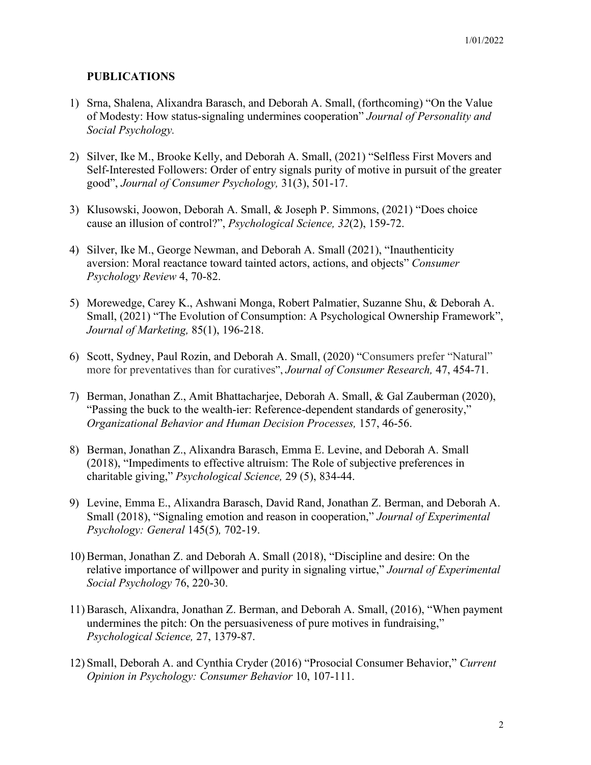## **PUBLICATIONS**

- 1) Srna, Shalena, Alixandra Barasch, and Deborah A. Small, (forthcoming) "On the Value of Modesty: How status-signaling undermines cooperation" *Journal of Personality and Social Psychology.*
- 2) Silver, Ike M., Brooke Kelly, and Deborah A. Small, (2021) "Selfless First Movers and Self-Interested Followers: Order of entry signals purity of motive in pursuit of the greater good", *Journal of Consumer Psychology,* 31(3), 501-17.
- 3) Klusowski, Joowon, Deborah A. Small, & Joseph P. Simmons, (2021) "Does choice cause an illusion of control?", *Psychological Science, 32*(2), 159-72.
- 4) Silver, Ike M., George Newman, and Deborah A. Small (2021), "Inauthenticity aversion: Moral reactance toward tainted actors, actions, and objects" *Consumer Psychology Review* 4, 70-82.
- 5) Morewedge, Carey K., Ashwani Monga, Robert Palmatier, Suzanne Shu, & Deborah A. Small, (2021) "The Evolution of Consumption: A Psychological Ownership Framework", *Journal of Marketing,* 85(1), 196-218.
- 6) Scott, Sydney, Paul Rozin, and Deborah A. Small, (2020) "Consumers prefer "Natural" more for preventatives than for curatives", *Journal of Consumer Research,* 47, 454-71.
- 7) Berman, Jonathan Z., Amit Bhattacharjee, Deborah A. Small, & Gal Zauberman (2020), "Passing the buck to the wealth-ier: Reference-dependent standards of generosity," *Organizational Behavior and Human Decision Processes,* 157, 46-56.
- 8) Berman, Jonathan Z., Alixandra Barasch, Emma E. Levine, and Deborah A. Small (2018), "Impediments to effective altruism: The Role of subjective preferences in charitable giving," *Psychological Science,* 29 (5), 834-44.
- 9) Levine, Emma E., Alixandra Barasch, David Rand, Jonathan Z. Berman, and Deborah A. Small (2018), "Signaling emotion and reason in cooperation," *Journal of Experimental Psychology: General* 145(5)*,* 702-19.
- 10) Berman, Jonathan Z. and Deborah A. Small (2018), "Discipline and desire: On the relative importance of willpower and purity in signaling virtue," *Journal of Experimental Social Psychology* 76, 220-30.
- 11) Barasch, Alixandra, Jonathan Z. Berman, and Deborah A. Small, (2016), "When payment undermines the pitch: On the persuasiveness of pure motives in fundraising," *Psychological Science,* 27, 1379-87.
- 12) Small, Deborah A. and Cynthia Cryder (2016) "Prosocial Consumer Behavior," *Current Opinion in Psychology: Consumer Behavior* 10, 107-111.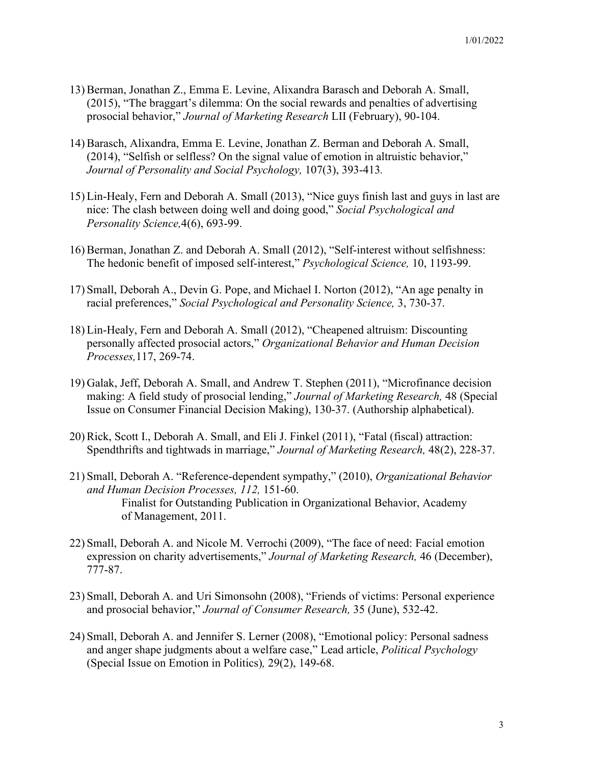- 13) Berman, Jonathan Z., Emma E. Levine, Alixandra Barasch and Deborah A. Small, (2015), "The braggart's dilemma: On the social rewards and penalties of advertising prosocial behavior," *Journal of Marketing Research* LII (February), 90-104.
- 14) Barasch, Alixandra, Emma E. Levine, Jonathan Z. Berman and Deborah A. Small, (2014), "Selfish or selfless? On the signal value of emotion in altruistic behavior," *Journal of Personality and Social Psychology,* 107(3), 393-413*.*
- 15) Lin-Healy, Fern and Deborah A. Small (2013), "Nice guys finish last and guys in last are nice: The clash between doing well and doing good," *Social Psychological and Personality Science,*4(6), 693-99.
- 16) Berman, Jonathan Z. and Deborah A. Small (2012), "Self-interest without selfishness: The hedonic benefit of imposed self-interest," *Psychological Science,* 10, 1193-99.
- 17) Small, Deborah A., Devin G. Pope, and Michael I. Norton (2012), "An age penalty in racial preferences," *Social Psychological and Personality Science,* 3, 730-37.
- 18) Lin-Healy, Fern and Deborah A. Small (2012), "Cheapened altruism: Discounting personally affected prosocial actors," *Organizational Behavior and Human Decision Processes,*117, 269-74.
- 19) Galak, Jeff, Deborah A. Small, and Andrew T. Stephen (2011), "Microfinance decision making: A field study of prosocial lending," *Journal of Marketing Research,* 48 (Special Issue on Consumer Financial Decision Making), 130-37. (Authorship alphabetical).
- 20) Rick, Scott I., Deborah A. Small, and Eli J. Finkel (2011), "Fatal (fiscal) attraction: Spendthrifts and tightwads in marriage," *Journal of Marketing Research,* 48(2), 228-37.
- 21) Small, Deborah A. "Reference-dependent sympathy," (2010), *Organizational Behavior and Human Decision Processes, 112,* 151-60. Finalist for Outstanding Publication in Organizational Behavior, Academy of Management, 2011.
- 22) Small, Deborah A. and Nicole M. Verrochi (2009), "The face of need: Facial emotion expression on charity advertisements," *Journal of Marketing Research,* 46 (December), 777-87.
- 23) Small, Deborah A. and Uri Simonsohn (2008), "Friends of victims: Personal experience and prosocial behavior," *Journal of Consumer Research,* 35 (June), 532-42.
- 24) Small, Deborah A. and Jennifer S. Lerner (2008), "Emotional policy: Personal sadness and anger shape judgments about a welfare case," Lead article, *Political Psychology*  (Special Issue on Emotion in Politics)*,* 29(2), 149-68.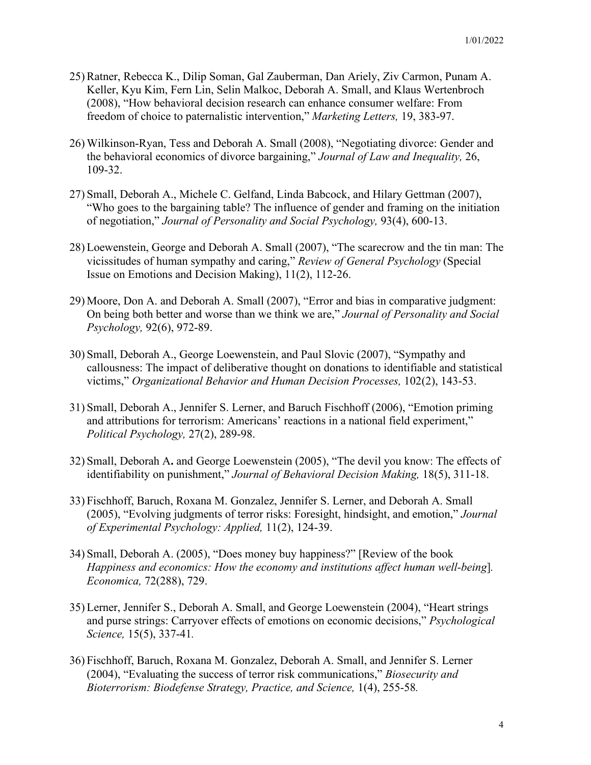- 25) Ratner, Rebecca K., Dilip Soman, Gal Zauberman, Dan Ariely, Ziv Carmon, Punam A. Keller, Kyu Kim, Fern Lin, Selin Malkoc, Deborah A. Small, and Klaus Wertenbroch (2008), "How behavioral decision research can enhance consumer welfare: From freedom of choice to paternalistic intervention," *Marketing Letters,* 19, 383-97.
- 26) Wilkinson-Ryan, Tess and Deborah A. Small (2008), "Negotiating divorce: Gender and the behavioral economics of divorce bargaining," *Journal of Law and Inequality,* 26, 109-32.
- 27) Small, Deborah A., Michele C. Gelfand, Linda Babcock, and Hilary Gettman (2007), "Who goes to the bargaining table? The influence of gender and framing on the initiation of negotiation," *Journal of Personality and Social Psychology,* 93(4), 600-13.
- 28) Loewenstein, George and Deborah A. Small (2007), "The scarecrow and the tin man: The vicissitudes of human sympathy and caring," *Review of General Psychology* (Special Issue on Emotions and Decision Making), 11(2), 112-26.
- 29) Moore, Don A. and Deborah A. Small (2007), "Error and bias in comparative judgment: On being both better and worse than we think we are," *Journal of Personality and Social Psychology,* 92(6), 972-89.
- 30) Small, Deborah A., George Loewenstein, and Paul Slovic (2007), "Sympathy and callousness: The impact of deliberative thought on donations to identifiable and statistical victims," *Organizational Behavior and Human Decision Processes,* 102(2), 143-53.
- 31) Small, Deborah A., Jennifer S. Lerner, and Baruch Fischhoff (2006), "Emotion priming and attributions for terrorism: Americans' reactions in a national field experiment," *Political Psychology,* 27(2), 289-98.
- 32) Small, Deborah A**.** and George Loewenstein (2005), "The devil you know: The effects of identifiability on punishment," *Journal of Behavioral Decision Making,* 18(5), 311-18.
- 33) Fischhoff, Baruch, Roxana M. Gonzalez, Jennifer S. Lerner, and Deborah A. Small (2005), "Evolving judgments of terror risks: Foresight, hindsight, and emotion," *Journal of Experimental Psychology: Applied,* 11(2), 124-39.
- 34) Small, Deborah A. (2005), "Does money buy happiness?" [Review of the book *Happiness and economics: How the economy and institutions affect human well-being*]*. Economica,* 72(288), 729.
- 35) Lerner, Jennifer S., Deborah A. Small, and George Loewenstein (2004), "Heart strings and purse strings: Carryover effects of emotions on economic decisions," *Psychological Science,* 15(5), 337-41*.*
- 36) Fischhoff, Baruch, Roxana M. Gonzalez, Deborah A. Small, and Jennifer S. Lerner (2004), "Evaluating the success of terror risk communications," *Biosecurity and Bioterrorism: Biodefense Strategy, Practice, and Science,* 1(4), 255-58*.*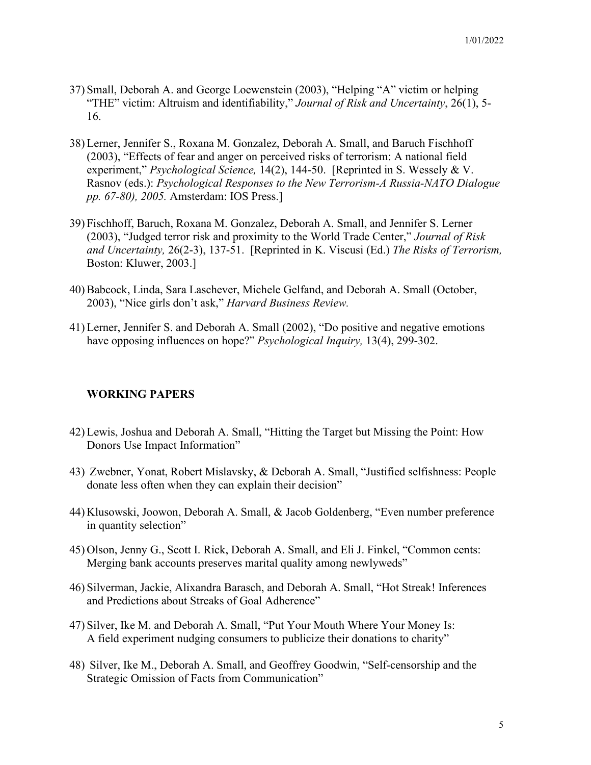- 37) Small, Deborah A. and George Loewenstein (2003), "Helping "A" victim or helping "THE" victim: Altruism and identifiability," *Journal of Risk and Uncertainty*, 26(1), 5- 16.
- 38) Lerner, Jennifer S., Roxana M. Gonzalez, Deborah A. Small, and Baruch Fischhoff (2003), "Effects of fear and anger on perceived risks of terrorism: A national field experiment," *Psychological Science,* 14(2), 144-50. [Reprinted in S. Wessely & V. Rasnov (eds.): *Psychological Responses to the New Terrorism-A Russia-NATO Dialogue pp. 67-80), 2005.* Amsterdam: IOS Press.]
- 39) Fischhoff, Baruch, Roxana M. Gonzalez, Deborah A. Small, and Jennifer S. Lerner (2003), "Judged terror risk and proximity to the World Trade Center," *Journal of Risk and Uncertainty,* 26(2-3), 137-51. [Reprinted in K. Viscusi (Ed.) *The Risks of Terrorism,*  Boston: Kluwer, 2003.]
- 40) Babcock, Linda, Sara Laschever, Michele Gelfand, and Deborah A. Small (October, 2003), "Nice girls don't ask," *Harvard Business Review.*
- 41) Lerner, Jennifer S. and Deborah A. Small (2002), "Do positive and negative emotions have opposing influences on hope?" *Psychological Inquiry,* 13(4), 299-302.

## **WORKING PAPERS**

- 42) Lewis, Joshua and Deborah A. Small, "Hitting the Target but Missing the Point: How Donors Use Impact Information"
- 43) Zwebner, Yonat, Robert Mislavsky, & Deborah A. Small, "Justified selfishness: People donate less often when they can explain their decision"
- 44) Klusowski, Joowon, Deborah A. Small, & Jacob Goldenberg, "Even number preference in quantity selection"
- 45) Olson, Jenny G., Scott I. Rick, Deborah A. Small, and Eli J. Finkel, "Common cents: Merging bank accounts preserves marital quality among newlyweds"
- 46) Silverman, Jackie, Alixandra Barasch, and Deborah A. Small, "Hot Streak! Inferences and Predictions about Streaks of Goal Adherence"
- 47) Silver, Ike M. and Deborah A. Small, "Put Your Mouth Where Your Money Is: A field experiment nudging consumers to publicize their donations to charity"
- 48) Silver, Ike M., Deborah A. Small, and Geoffrey Goodwin, "Self-censorship and the Strategic Omission of Facts from Communication"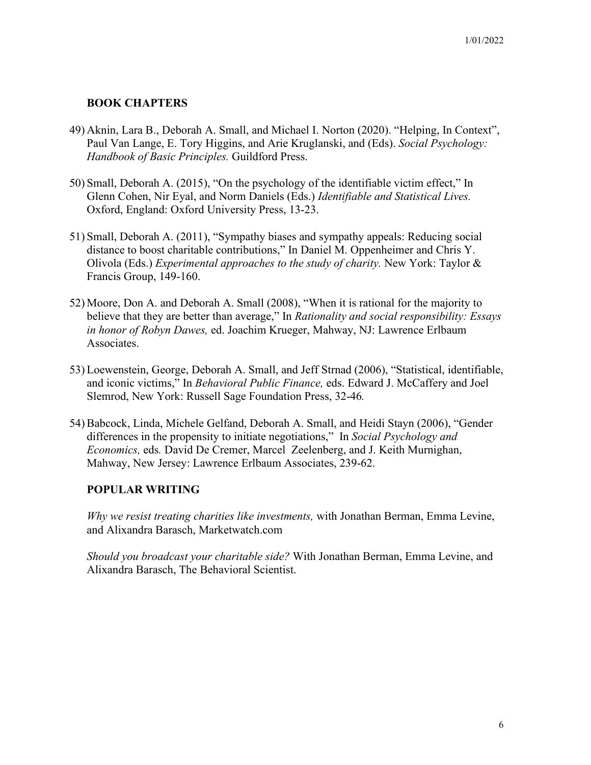## **BOOK CHAPTERS**

- 49) Aknin, Lara B., Deborah A. Small, and Michael I. Norton (2020). "Helping, In Context", Paul Van Lange, E. Tory Higgins, and Arie Kruglanski, and (Eds). *Social Psychology: Handbook of Basic Principles.* Guildford Press.
- 50) Small, Deborah A. (2015), "On the psychology of the identifiable victim effect," In Glenn Cohen, Nir Eyal, and Norm Daniels (Eds.) *Identifiable and Statistical Lives.* Oxford, England: Oxford University Press, 13-23.
- 51) Small, Deborah A. (2011), "Sympathy biases and sympathy appeals: Reducing social distance to boost charitable contributions," In Daniel M. Oppenheimer and Chris Y. Olivola (Eds.) *Experimental approaches to the study of charity.* New York: Taylor & Francis Group, 149-160.
- 52) Moore, Don A. and Deborah A. Small (2008), "When it is rational for the majority to believe that they are better than average," In *Rationality and social responsibility: Essays in honor of Robyn Dawes,* ed. Joachim Krueger, Mahway, NJ: Lawrence Erlbaum Associates.
- 53) Loewenstein, George, Deborah A. Small, and Jeff Strnad (2006), "Statistical, identifiable, and iconic victims," In *Behavioral Public Finance,* eds. Edward J. McCaffery and Joel Slemrod, New York: Russell Sage Foundation Press, 32-46*.*
- 54) Babcock, Linda, Michele Gelfand, Deborah A. Small, and Heidi Stayn (2006), "Gender differences in the propensity to initiate negotiations," In *Social Psychology and Economics,* eds*.* David De Cremer, Marcel Zeelenberg, and J. Keith Murnighan, Mahway, New Jersey: Lawrence Erlbaum Associates, 239-62.

## **POPULAR WRITING**

*Why we resist treating charities like investments,* with Jonathan Berman, Emma Levine, and Alixandra Barasch, Marketwatch.com

*Should you broadcast your charitable side?* With Jonathan Berman, Emma Levine, and Alixandra Barasch, The Behavioral Scientist.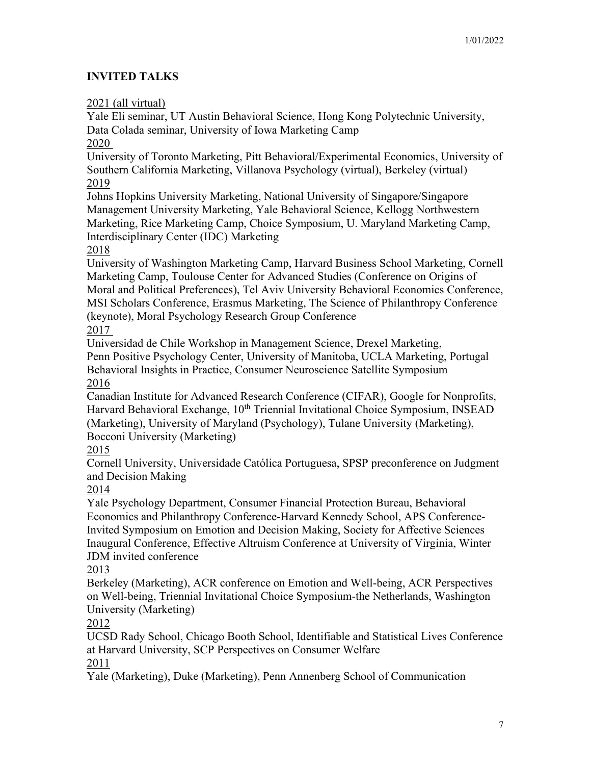# **INVITED TALKS**

2021 (all virtual)

Yale Eli seminar, UT Austin Behavioral Science, Hong Kong Polytechnic University, Data Colada seminar, University of Iowa Marketing Camp 2020

University of Toronto Marketing, Pitt Behavioral/Experimental Economics, University of Southern California Marketing, Villanova Psychology (virtual), Berkeley (virtual) 2019

Johns Hopkins University Marketing, National University of Singapore/Singapore Management University Marketing, Yale Behavioral Science, Kellogg Northwestern Marketing, Rice Marketing Camp, Choice Symposium, U. Maryland Marketing Camp, Interdisciplinary Center (IDC) Marketing

2018

University of Washington Marketing Camp, Harvard Business School Marketing, Cornell Marketing Camp, Toulouse Center for Advanced Studies (Conference on Origins of Moral and Political Preferences), Tel Aviv University Behavioral Economics Conference, MSI Scholars Conference, Erasmus Marketing, The Science of Philanthropy Conference (keynote), Moral Psychology Research Group Conference

2017

Universidad de Chile Workshop in Management Science, Drexel Marketing,

Penn Positive Psychology Center, University of Manitoba, UCLA Marketing, Portugal Behavioral Insights in Practice, Consumer Neuroscience Satellite Symposium 2016

Canadian Institute for Advanced Research Conference (CIFAR), Google for Nonprofits, Harvard Behavioral Exchange, 10<sup>th</sup> Triennial Invitational Choice Symposium, INSEAD (Marketing), University of Maryland (Psychology), Tulane University (Marketing), Bocconi University (Marketing)

2015

Cornell University, Universidade Católica Portuguesa, SPSP preconference on Judgment and Decision Making

2014

Yale Psychology Department, Consumer Financial Protection Bureau, Behavioral Economics and Philanthropy Conference-Harvard Kennedy School, APS Conference-Invited Symposium on Emotion and Decision Making, Society for Affective Sciences Inaugural Conference, Effective Altruism Conference at University of Virginia, Winter JDM invited conference

2013

Berkeley (Marketing), ACR conference on Emotion and Well-being, ACR Perspectives on Well-being, Triennial Invitational Choice Symposium-the Netherlands, Washington University (Marketing)

2012

UCSD Rady School, Chicago Booth School, Identifiable and Statistical Lives Conference at Harvard University, SCP Perspectives on Consumer Welfare 2011

Yale (Marketing), Duke (Marketing), Penn Annenberg School of Communication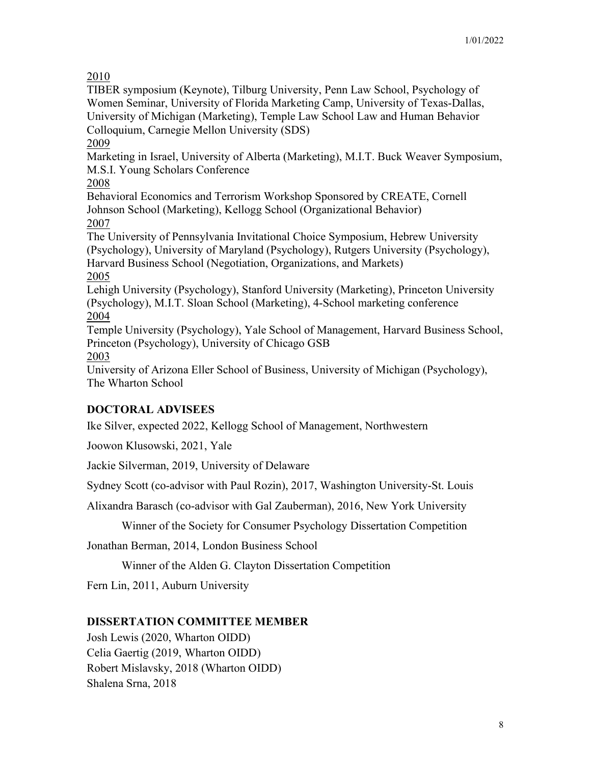2010

TIBER symposium (Keynote), Tilburg University, Penn Law School, Psychology of Women Seminar, University of Florida Marketing Camp, University of Texas-Dallas, University of Michigan (Marketing), Temple Law School Law and Human Behavior Colloquium, Carnegie Mellon University (SDS)

2009

Marketing in Israel, University of Alberta (Marketing), M.I.T. Buck Weaver Symposium, M.S.I. Young Scholars Conference

2008

Behavioral Economics and Terrorism Workshop Sponsored by CREATE, Cornell Johnson School (Marketing), Kellogg School (Organizational Behavior) 2007

The University of Pennsylvania Invitational Choice Symposium, Hebrew University (Psychology), University of Maryland (Psychology), Rutgers University (Psychology), Harvard Business School (Negotiation, Organizations, and Markets) 2005

Lehigh University (Psychology), Stanford University (Marketing), Princeton University (Psychology), M.I.T. Sloan School (Marketing), 4-School marketing conference 2004

Temple University (Psychology), Yale School of Management, Harvard Business School, Princeton (Psychology), University of Chicago GSB

2003

University of Arizona Eller School of Business, University of Michigan (Psychology), The Wharton School

# **DOCTORAL ADVISEES**

Ike Silver, expected 2022, Kellogg School of Management, Northwestern

Joowon Klusowski, 2021, Yale

Jackie Silverman, 2019, University of Delaware

Sydney Scott (co-advisor with Paul Rozin), 2017, Washington University-St. Louis

Alixandra Barasch (co-advisor with Gal Zauberman), 2016, New York University

Winner of the Society for Consumer Psychology Dissertation Competition

Jonathan Berman, 2014, London Business School

Winner of the Alden G. Clayton Dissertation Competition

Fern Lin, 2011, Auburn University

# **DISSERTATION COMMITTEE MEMBER**

Josh Lewis (2020, Wharton OIDD) Celia Gaertig (2019, Wharton OIDD) Robert Mislavsky, 2018 (Wharton OIDD) Shalena Srna, 2018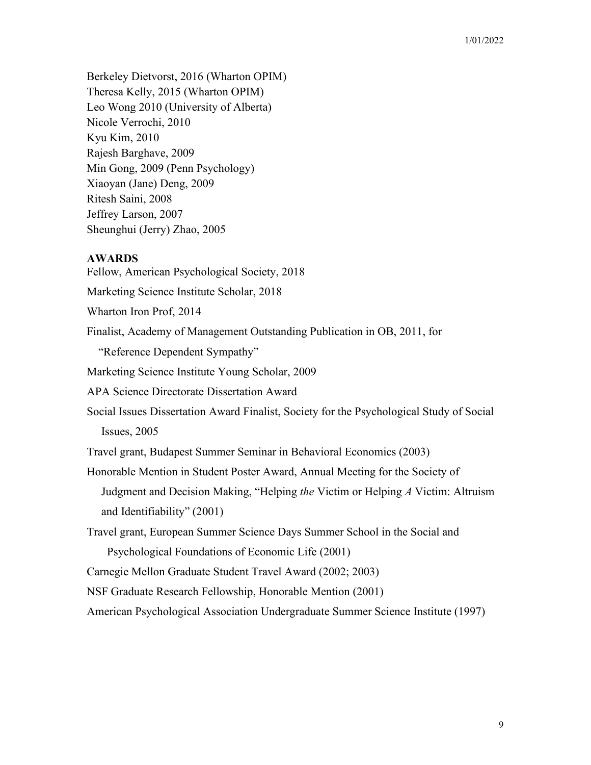Berkeley Dietvorst, 2016 (Wharton OPIM) Theresa Kelly, 2015 (Wharton OPIM) Leo Wong 2010 (University of Alberta) Nicole Verrochi, 2010 Kyu Kim, 2010 Rajesh Barghave, 2009 Min Gong, 2009 (Penn Psychology) Xiaoyan (Jane) Deng, 2009 Ritesh Saini, 2008 Jeffrey Larson, 2007 Sheunghui (Jerry) Zhao, 2005

### **AWARDS**

Fellow, American Psychological Society, 2018 Marketing Science Institute Scholar, 2018 Wharton Iron Prof, 2014 Finalist, Academy of Management Outstanding Publication in OB, 2011, for "Reference Dependent Sympathy" Marketing Science Institute Young Scholar, 2009 APA Science Directorate Dissertation Award Social Issues Dissertation Award Finalist, Society for the Psychological Study of Social Issues, 2005 Travel grant, Budapest Summer Seminar in Behavioral Economics (2003) Honorable Mention in Student Poster Award, Annual Meeting for the Society of Judgment and Decision Making, "Helping *the* Victim or Helping *A* Victim: Altruism and Identifiability" (2001) Travel grant, European Summer Science Days Summer School in the Social and Psychological Foundations of Economic Life (2001) Carnegie Mellon Graduate Student Travel Award (2002; 2003) NSF Graduate Research Fellowship, Honorable Mention (2001) American Psychological Association Undergraduate Summer Science Institute (1997)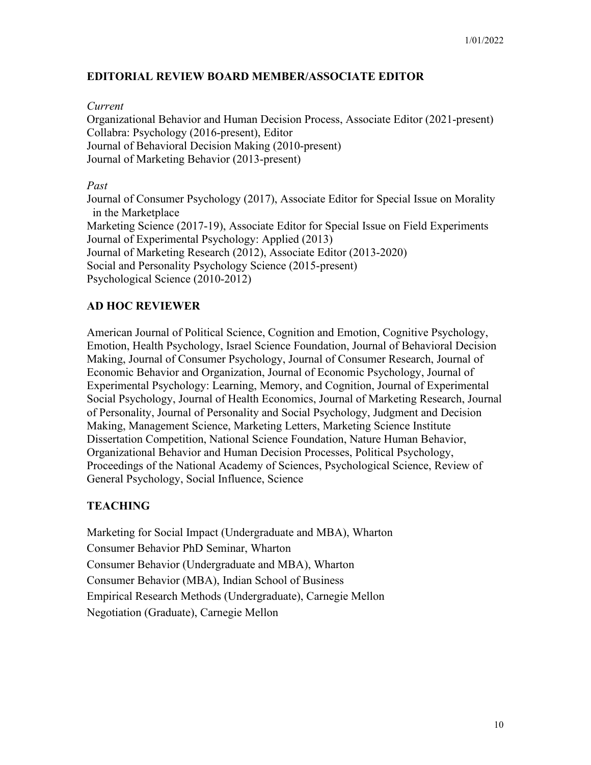## **EDITORIAL REVIEW BOARD MEMBER/ASSOCIATE EDITOR**

*Current* Organizational Behavior and Human Decision Process, Associate Editor (2021-present) Collabra: Psychology (2016-present), Editor Journal of Behavioral Decision Making (2010-present) Journal of Marketing Behavior (2013-present)

### *Past*

Journal of Consumer Psychology (2017), Associate Editor for Special Issue on Morality in the Marketplace Marketing Science (2017-19), Associate Editor for Special Issue on Field Experiments Journal of Experimental Psychology: Applied (2013) Journal of Marketing Research (2012), Associate Editor (2013-2020) Social and Personality Psychology Science (2015-present) Psychological Science (2010-2012)

## **AD HOC REVIEWER**

American Journal of Political Science, Cognition and Emotion, Cognitive Psychology, Emotion, Health Psychology, Israel Science Foundation, Journal of Behavioral Decision Making, Journal of Consumer Psychology, Journal of Consumer Research, Journal of Economic Behavior and Organization, Journal of Economic Psychology, Journal of Experimental Psychology: Learning, Memory, and Cognition, Journal of Experimental Social Psychology, Journal of Health Economics, Journal of Marketing Research, Journal of Personality, Journal of Personality and Social Psychology, Judgment and Decision Making, Management Science, Marketing Letters, Marketing Science Institute Dissertation Competition, National Science Foundation, Nature Human Behavior, Organizational Behavior and Human Decision Processes, Political Psychology, Proceedings of the National Academy of Sciences, Psychological Science, Review of General Psychology, Social Influence, Science

## **TEACHING**

Marketing for Social Impact (Undergraduate and MBA), Wharton Consumer Behavior PhD Seminar, Wharton Consumer Behavior (Undergraduate and MBA), Wharton Consumer Behavior (MBA), Indian School of Business Empirical Research Methods (Undergraduate), Carnegie Mellon Negotiation (Graduate), Carnegie Mellon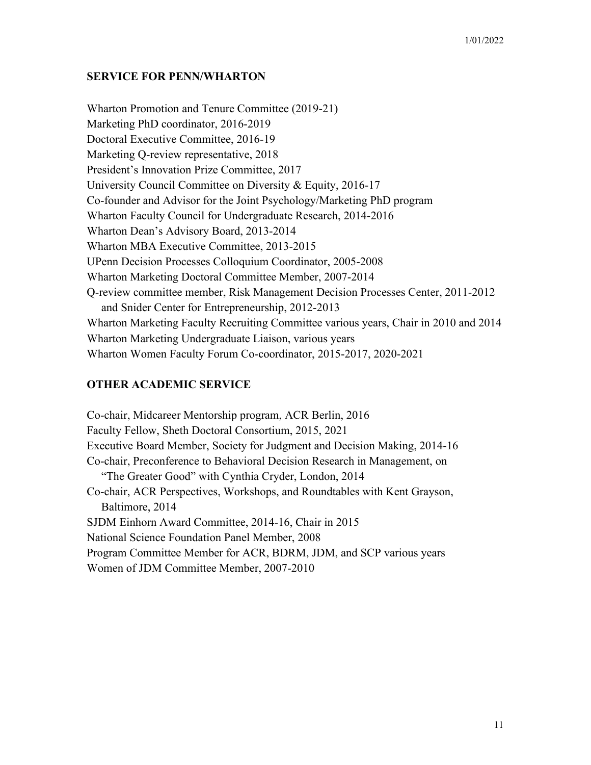### **SERVICE FOR PENN/WHARTON**

Wharton Promotion and Tenure Committee (2019-21) Marketing PhD coordinator, 2016-2019 Doctoral Executive Committee, 2016-19 Marketing Q-review representative, 2018 President's Innovation Prize Committee, 2017 University Council Committee on Diversity & Equity, 2016-17 Co-founder and Advisor for the Joint Psychology/Marketing PhD program Wharton Faculty Council for Undergraduate Research, 2014-2016 Wharton Dean's Advisory Board, 2013-2014 Wharton MBA Executive Committee, 2013-2015 UPenn Decision Processes Colloquium Coordinator, 2005-2008 Wharton Marketing Doctoral Committee Member, 2007-2014 Q-review committee member, Risk Management Decision Processes Center, 2011-2012 and Snider Center for Entrepreneurship, 2012-2013 Wharton Marketing Faculty Recruiting Committee various years, Chair in 2010 and 2014 Wharton Marketing Undergraduate Liaison, various years Wharton Women Faculty Forum Co-coordinator, 2015-2017, 2020-2021

## **OTHER ACADEMIC SERVICE**

Co-chair, Midcareer Mentorship program, ACR Berlin, 2016 Faculty Fellow, Sheth Doctoral Consortium, 2015, 2021 Executive Board Member, Society for Judgment and Decision Making, 2014-16 Co-chair, Preconference to Behavioral Decision Research in Management, on "The Greater Good" with Cynthia Cryder, London, 2014 Co-chair, ACR Perspectives, Workshops, and Roundtables with Kent Grayson, Baltimore, 2014 SJDM Einhorn Award Committee, 2014-16, Chair in 2015 National Science Foundation Panel Member, 2008 Program Committee Member for ACR, BDRM, JDM, and SCP various years Women of JDM Committee Member, 2007-2010